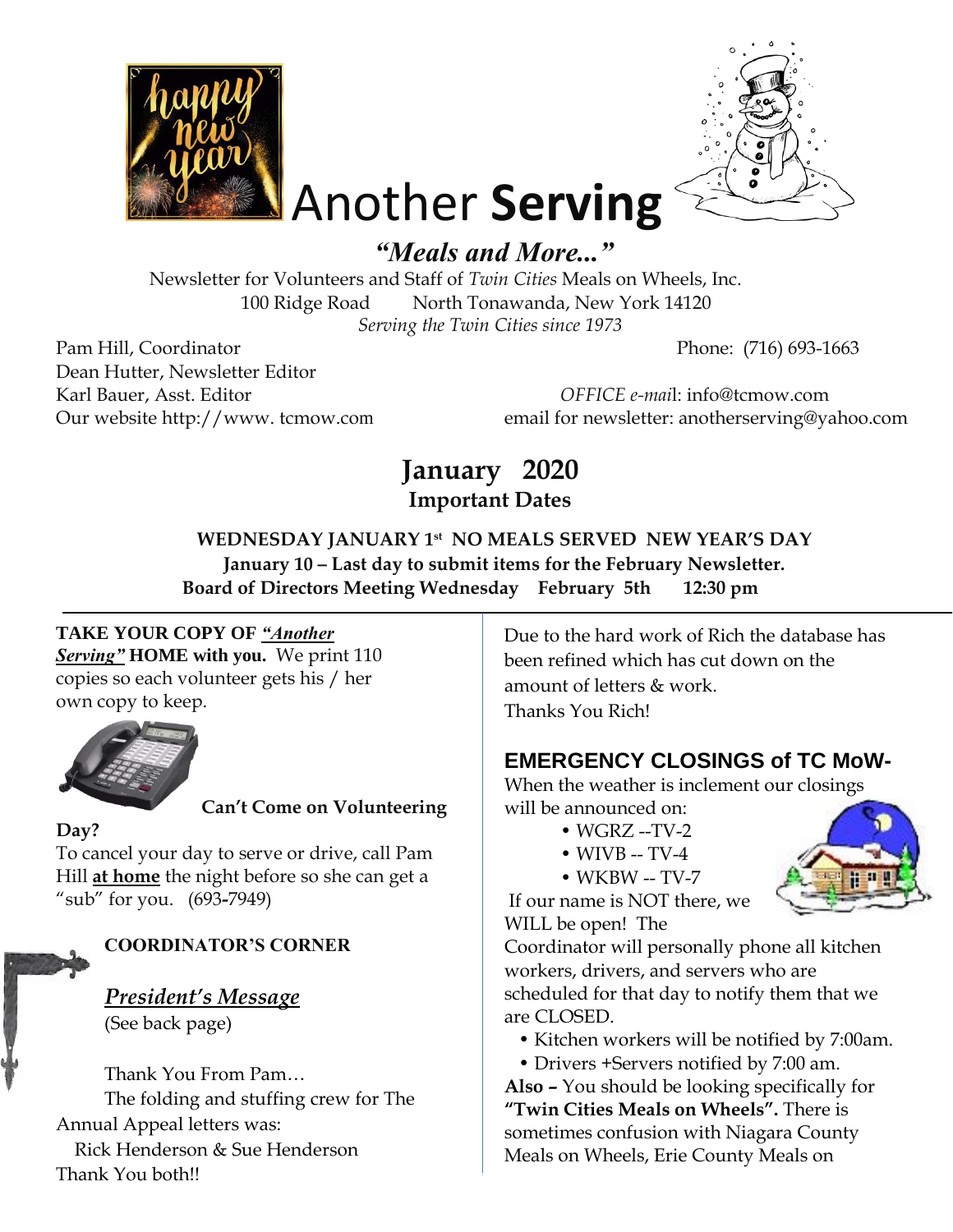



# Another **Serving** *"Meals and More..."*

Newsletter for Volunteers and Staff of *Twin Cities* Meals on Wheels, Inc. 100 Ridge Road North Tonawanda, New York 14120 *Serving the Twin Cities since 1973* 

Pam Hill, Coordinator Phone: (716) 693-1663 Dean Hutter, Newsletter Editor

Karl Bauer, Asst. Editor *OFFICE e-mai*l: info@tcmow.com Our website http://www. tcmow.com email for newsletter: anotherserving@yahoo.com

# **January 2020 Important Dates**

**WEDNESDAY JANUARY 1 st NO MEALS SERVED NEW YEAR'S DAY January 10 – Last day to submit items for the February Newsletter. Board of Directors Meeting Wednesday February 5th 12:30 pm** 

# **TAKE YOUR COPY OF** *"Another*

*Serving"* **HOME with you.** We print 110 copies so each volunteer gets his / her own copy to keep.



# **Can't Come on Volunteering**

#### **Day?**

To cancel your day to serve or drive, call Pam Hill **at home** the night before so she can get a "sub" for you. (693**-**7949)

# **COORDINATOR'S CORNER**

*President's Message* (See back page)

Thank You From Pam… The folding and stuffing crew for The Annual Appeal letters was: Rick Henderson & Sue Henderson Thank You both!!

Due to the hard work of Rich the database has been refined which has cut down on the amount of letters & work. Thanks You Rich!

# **EMERGENCY CLOSINGS of TC MoW-**

When the weather is inclement our closings will be announced on:

- WGRZ --TV-2
- $\bullet$  WIVB -- TV-4
- WKBW -- TV-7

If our name is NOT there, we WILL be open! The

Coordinator will personally phone all kitchen workers, drivers, and servers who are scheduled for that day to notify them that we are CLOSED.

- Kitchen workers will be notified by 7:00am.
- Drivers +Servers notified by 7:00 am.

**Also –** You should be looking specifically for **"Twin Cities Meals on Wheels".** There is sometimes confusion with Niagara County Meals on Wheels, Erie County Meals on

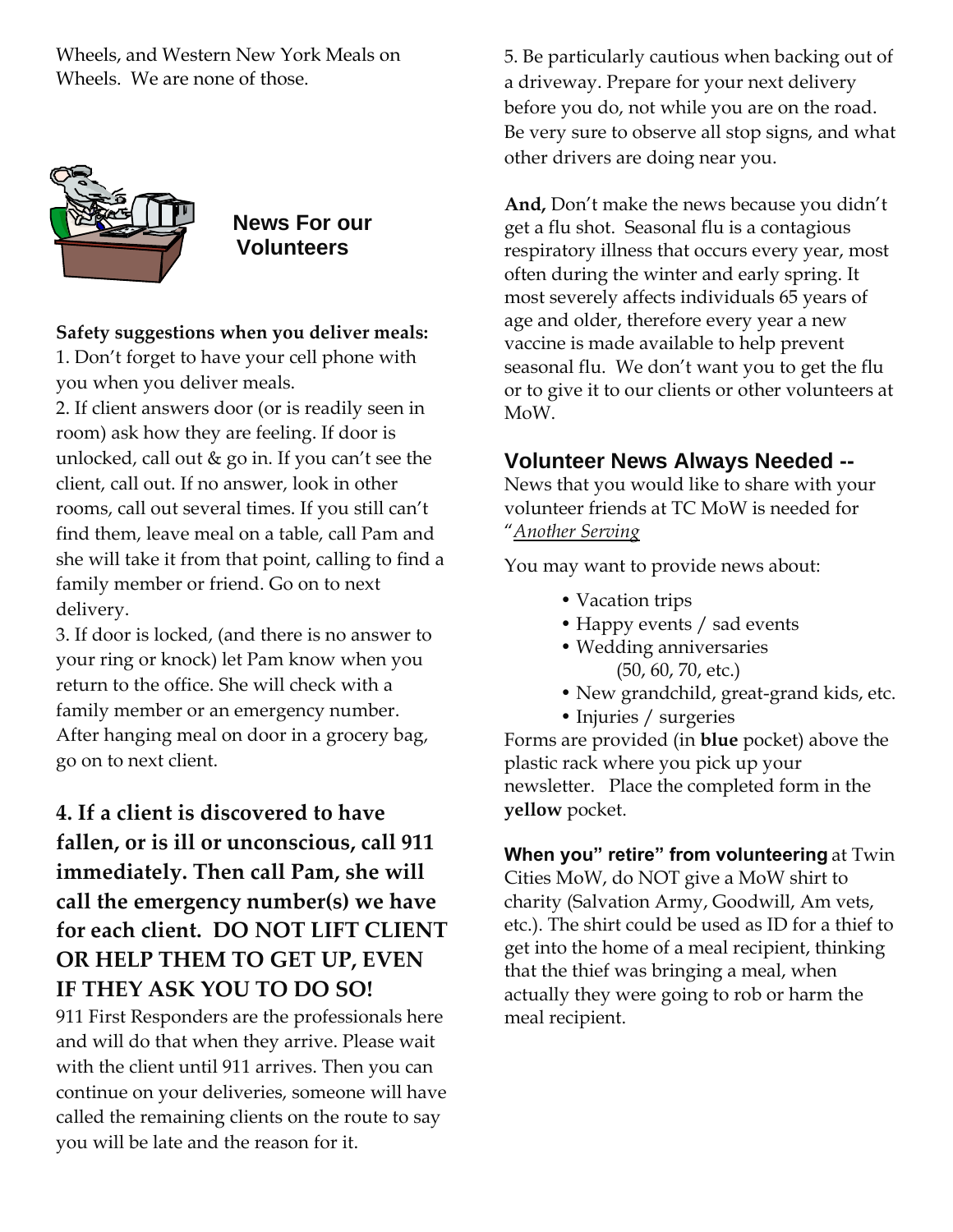Wheels, and Western New York Meals on Wheels. We are none of those.



 **News For our Volunteers** 

#### **Safety suggestions when you deliver meals:**

1. Don't forget to have your cell phone with you when you deliver meals.

2. If client answers door (or is readily seen in room) ask how they are feeling. If door is unlocked, call out & go in. If you can't see the client, call out. If no answer, look in other rooms, call out several times. If you still can't find them, leave meal on a table, call Pam and she will take it from that point, calling to find a family member or friend. Go on to next delivery.

3. If door is locked, (and there is no answer to your ring or knock) let Pam know when you return to the office. She will check with a family member or an emergency number. After hanging meal on door in a grocery bag, go on to next client.

# **4. If a client is discovered to have fallen, or is ill or unconscious, call 911 immediately. Then call Pam, she will call the emergency number(s) we have for each client. DO NOT LIFT CLIENT OR HELP THEM TO GET UP, EVEN IF THEY ASK YOU TO DO SO!**

911 First Responders are the professionals here and will do that when they arrive. Please wait with the client until 911 arrives. Then you can continue on your deliveries, someone will have called the remaining clients on the route to say you will be late and the reason for it.

5. Be particularly cautious when backing out of a driveway. Prepare for your next delivery before you do, not while you are on the road. Be very sure to observe all stop signs, and what other drivers are doing near you.

**And,** Don't make the news because you didn't get a flu shot. Seasonal flu is a contagious respiratory illness that occurs every year, most often during the winter and early spring. It most severely affects individuals 65 years of age and older, therefore every year a new vaccine is made available to help prevent seasonal flu. We don't want you to get the flu or to give it to our clients or other volunteers at MoW.

## **Volunteer News Always Needed --**

News that you would like to share with your volunteer friends at TC MoW is needed for "*Another Serving*

You may want to provide news about:

- Vacation trips
- Happy events / sad events
- Wedding anniversaries (50, 60, 70, etc.)
- New grandchild, great-grand kids, etc.
- Injuries / surgeries

Forms are provided (in **blue** pocket) above the plastic rack where you pick up your newsletter. Place the completed form in the **yellow** pocket.

**When you" retire" from volunteering** at Twin Cities MoW, do NOT give a MoW shirt to charity (Salvation Army, Goodwill, Am vets, etc.). The shirt could be used as ID for a thief to get into the home of a meal recipient, thinking that the thief was bringing a meal, when actually they were going to rob or harm the meal recipient.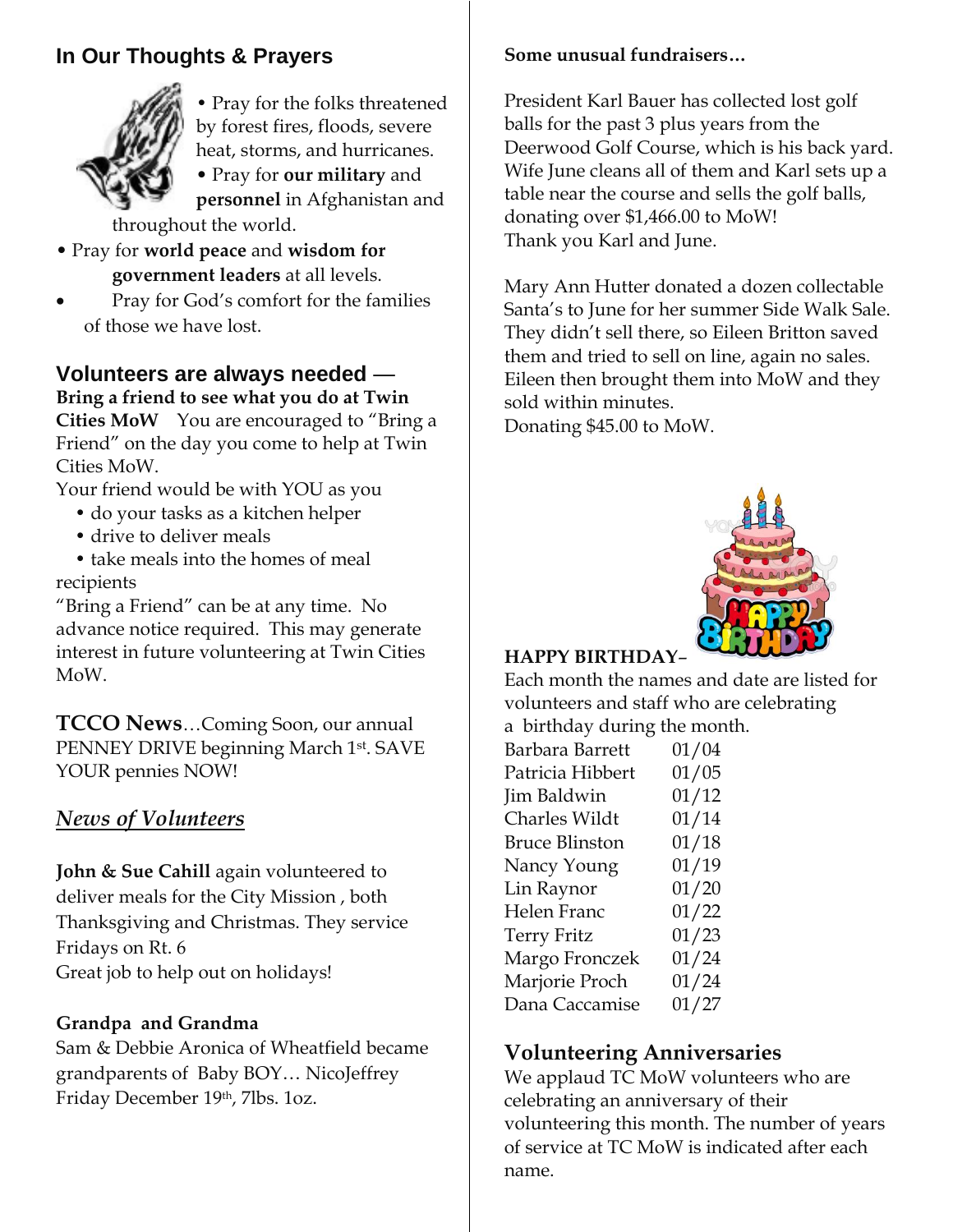# **In Our Thoughts & Prayers**



• Pray for the folks threatened by forest fires, floods, severe heat, storms, and hurricanes.

• Pray for **our military** and **personnel** in Afghanistan and

throughout the world.

- Pray for **world peace** and **wisdom for government leaders** at all levels.
- Pray for God's comfort for the families of those we have lost.

# **Volunteers are always needed** —

**Bring a friend to see what you do at Twin Cities MoW** You are encouraged to "Bring a Friend" on the day you come to help at Twin Cities MoW.

Your friend would be with YOU as you

- do your tasks as a kitchen helper
- drive to deliver meals

• take meals into the homes of meal recipients

"Bring a Friend" can be at any time. No advance notice required. This may generate interest in future volunteering at Twin Cities MoW.

**TCCO News**…Coming Soon, our annual PENNEY DRIVE beginning March 1st. SAVE YOUR pennies NOW!

### *News of Volunteers*

**John & Sue Cahill** again volunteered to deliver meals for the City Mission , both Thanksgiving and Christmas. They service Fridays on Rt. 6 Great job to help out on holidays!

#### **Grandpa and Grandma**

Sam & Debbie Aronica of Wheatfield became grandparents of Baby BOY… NicoJeffrey Friday December 19th, 7lbs. 1oz.

#### **Some unusual fundraisers…**

President Karl Bauer has collected lost golf balls for the past 3 plus years from the Deerwood Golf Course, which is his back yard. Wife June cleans all of them and Karl sets up a table near the course and sells the golf balls, donating over \$1,466.00 to MoW! Thank you Karl and June.

Mary Ann Hutter donated a dozen collectable Santa's to June for her summer Side Walk Sale. They didn't sell there, so Eileen Britton saved them and tried to sell on line, again no sales. Eileen then brought them into MoW and they sold within minutes.

Donating \$45.00 to MoW.



### **HAPPY BIRTHDAY**–

Each month the names and date are listed for volunteers and staff who are celebrating a birthday during the month.

| $\alpha$ $\epsilon$ $\alpha$ $\alpha$ , $\alpha$ $\alpha$ |       |
|-----------------------------------------------------------|-------|
| Barbara Barrett                                           | 01/04 |
| Patricia Hibbert                                          | 01/05 |
| Jim Baldwin                                               | 01/12 |
| <b>Charles Wildt</b>                                      | 01/14 |
| <b>Bruce Blinston</b>                                     | 01/18 |
| Nancy Young                                               | 01/19 |
| Lin Raynor                                                | 01/20 |
| Helen Franc                                               | 01/22 |
| <b>Terry Fritz</b>                                        | 01/23 |
| Margo Fronczek                                            | 01/24 |
| Marjorie Proch                                            | 01/24 |
| Dana Caccamise                                            | 01/27 |
|                                                           |       |

# **Volunteering Anniversaries**

We applaud TC MoW volunteers who are celebrating an anniversary of their volunteering this month. The number of years of service at TC MoW is indicated after each name.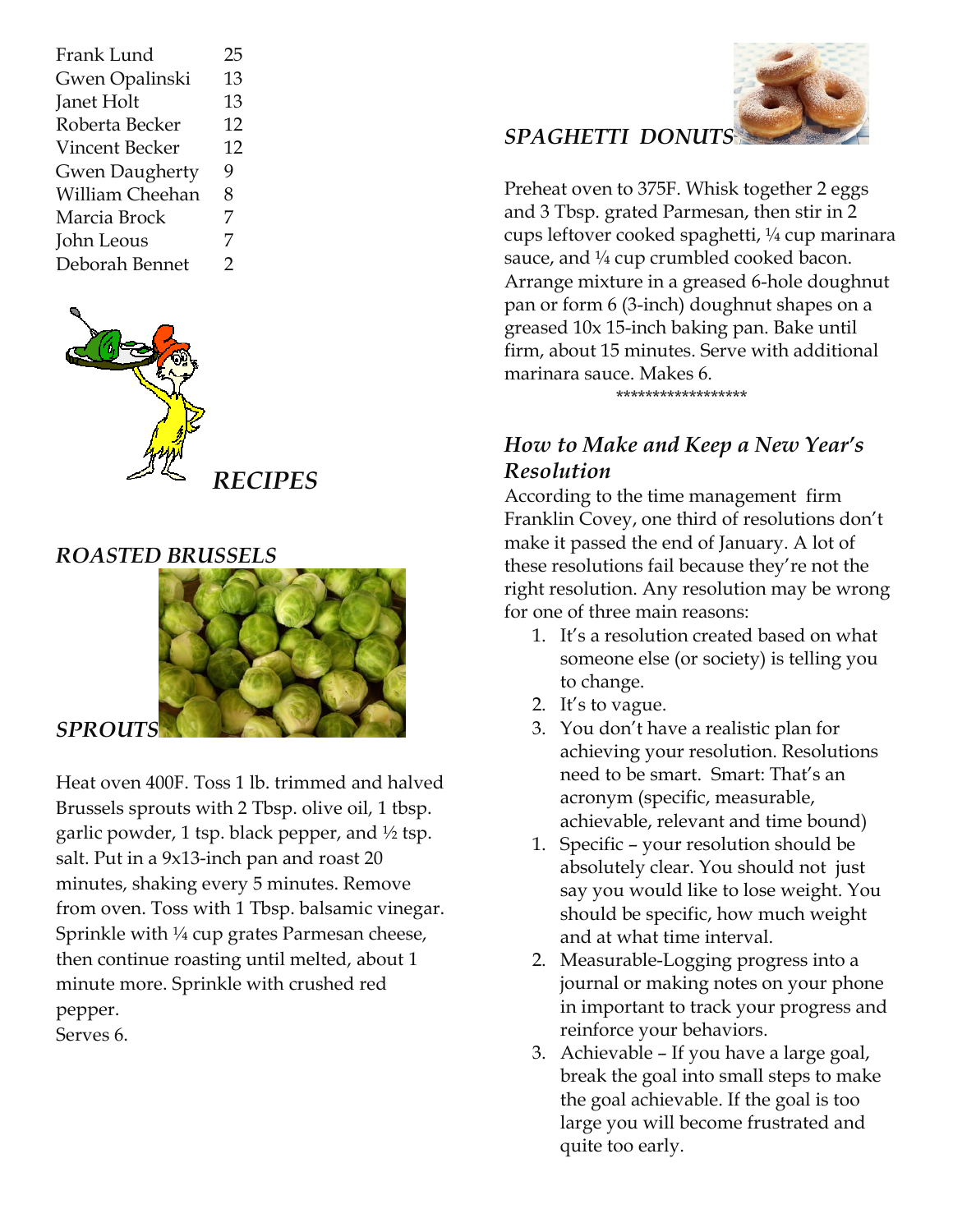| Frank Lund            | 25 |
|-----------------------|----|
| Gwen Opalinski        | 13 |
| Janet Holt            | 13 |
| Roberta Becker        | 12 |
| Vincent Becker        | 12 |
| <b>Gwen Daugherty</b> | 9  |
| William Cheehan       | 8  |
| Marcia Brock          | 7  |
| John Leous            | 7  |
| Deborah Bennet        | 2  |
|                       |    |



# *ROASTED BRUSSELS*



Heat oven 400F. Toss 1 lb. trimmed and halved Brussels sprouts with 2 Tbsp. olive oil, 1 tbsp. garlic powder, 1 tsp. black pepper, and  $\frac{1}{2}$  tsp. salt. Put in a 9x13-inch pan and roast 20 minutes, shaking every 5 minutes. Remove from oven. Toss with 1 Tbsp. balsamic vinegar. Sprinkle with ¼ cup grates Parmesan cheese, then continue roasting until melted, about 1 minute more. Sprinkle with crushed red pepper.

Serves 6.



# *SPAGHETTI DONUTS*

Preheat oven to 375F. Whisk together 2 eggs and 3 Tbsp. grated Parmesan, then stir in 2 cups leftover cooked spaghetti, ¼ cup marinara sauce, and  $\frac{1}{4}$  cup crumbled cooked bacon. Arrange mixture in a greased 6-hole doughnut pan or form 6 (3-inch) doughnut shapes on a greased 10x 15-inch baking pan. Bake until firm, about 15 minutes. Serve with additional marinara sauce. Makes 6.

\*\*\*\*\*\*\*\*\*\*\*\*\*\*\*\*\*\*

# *How to Make and Keep a New Year's Resolution*

According to the time management firm Franklin Covey, one third of resolutions don't make it passed the end of January. A lot of these resolutions fail because they're not the right resolution. Any resolution may be wrong for one of three main reasons:

- 1. It's a resolution created based on what someone else (or society) is telling you to change.
- 2. It's to vague.
- 3. You don't have a realistic plan for achieving your resolution. Resolutions need to be smart. Smart: That's an acronym (specific, measurable, achievable, relevant and time bound)
- 1. Specific your resolution should be absolutely clear. You should not just say you would like to lose weight. You should be specific, how much weight and at what time interval.
- 2. Measurable-Logging progress into a journal or making notes on your phone in important to track your progress and reinforce your behaviors.
- 3. Achievable If you have a large goal, break the goal into small steps to make the goal achievable. If the goal is too large you will become frustrated and quite too early.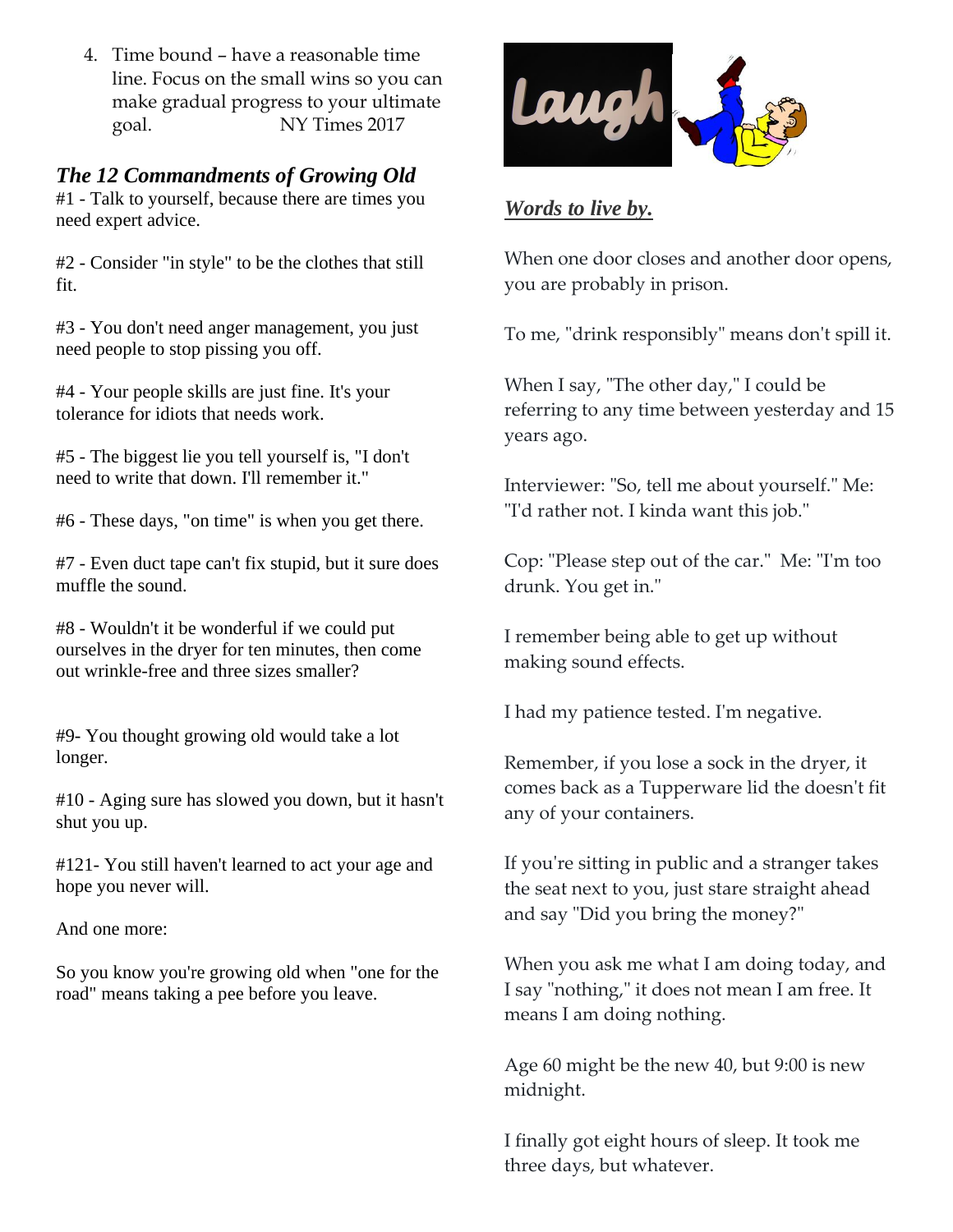4. Time bound – have a reasonable time line. Focus on the small wins so you can make gradual progress to your ultimate goal. NY Times 2017

### *The 12 Commandments of Growing Old*

#1 - Talk to yourself, because there are times you need expert advice.

#2 - Consider "in style" to be the clothes that still fit.

#3 - You don't need anger management, you just need people to stop pissing you off.

#4 - Your people skills are just fine. It's your tolerance for idiots that needs work.

#5 - The biggest lie you tell yourself is, "I don't need to write that down. I'll remember it."

#6 - These days, "on time" is when you get there.

#7 - Even duct tape can't fix stupid, but it sure does muffle the sound.

#8 - Wouldn't it be wonderful if we could put ourselves in the dryer for ten minutes, then come out wrinkle-free and three sizes smaller?

#9- You thought growing old would take a lot longer.

#10 - Aging sure has slowed you down, but it hasn't shut you up.

#121- You still haven't learned to act your age and hope you never will.

And one more:

So you know you're growing old when "one for the road" means taking a pee before you leave.



### *Words to live by.*

When one door closes and another door opens, you are probably in prison.

To me, "drink responsibly" means don't spill it.

When I say, "The other day," I could be referring to any time between yesterday and 15 years ago.

Interviewer: "So, tell me about yourself." Me: "I'd rather not. I kinda want this job."

Cop: "Please step out of the car." Me: "I'm too drunk. You get in."

I remember being able to get up without making sound effects.

I had my patience tested. I'm negative.

Remember, if you lose a sock in the dryer, it comes back as a Tupperware lid the doesn't fit any of your containers.

If you're sitting in public and a stranger takes the seat next to you, just stare straight ahead and say "Did you bring the money?"

When you ask me what I am doing today, and I say "nothing," it does not mean I am free. It means I am doing nothing.

Age 60 might be the new 40, but 9:00 is new midnight.

I finally got eight hours of sleep. It took me three days, but whatever.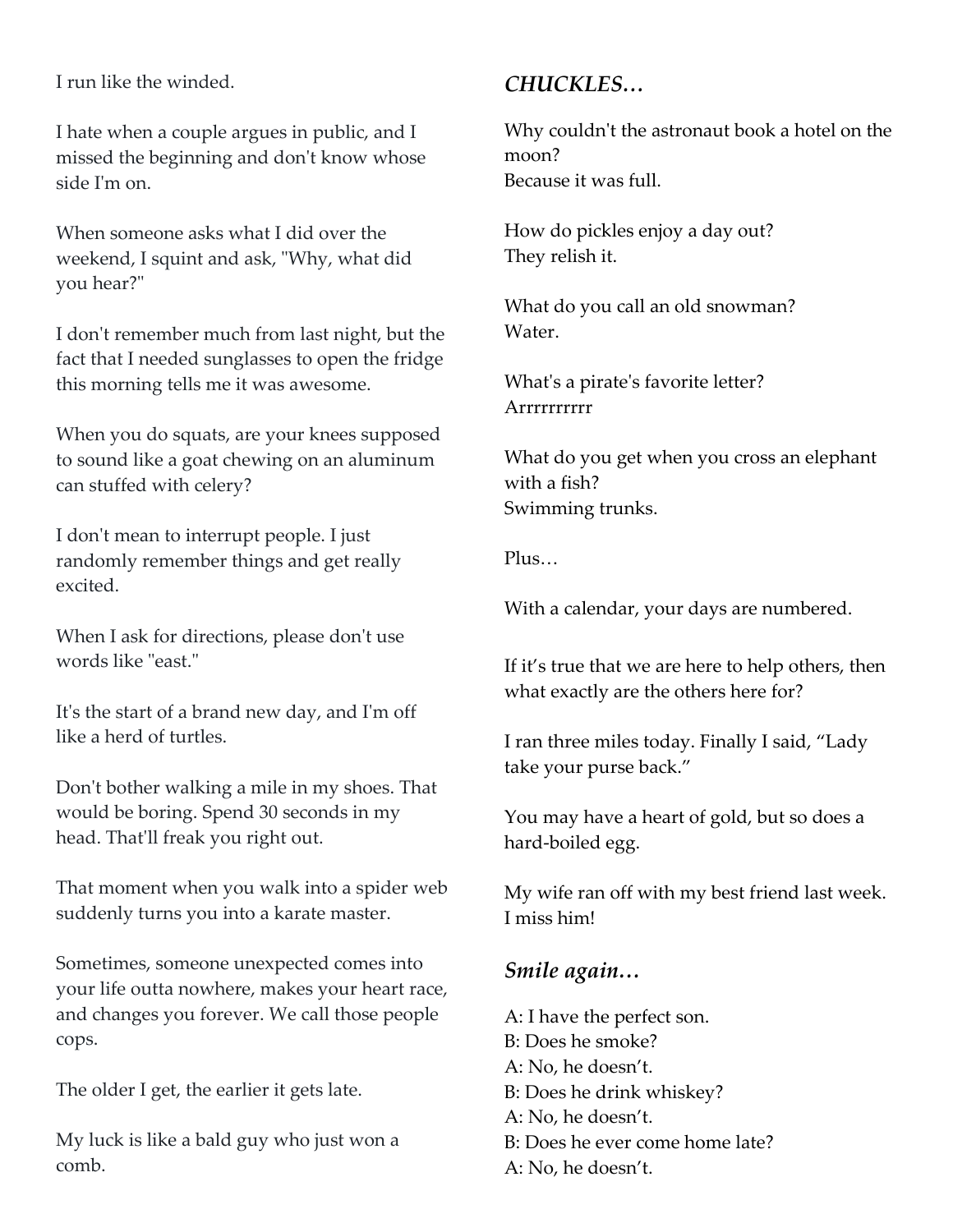I run like the winded.

I hate when a couple argues in public, and I missed the beginning and don't know whose side I'm on.

When someone asks what I did over the weekend, I squint and ask, "Why, what did you hear?"

I don't remember much from last night, but the fact that I needed sunglasses to open the fridge this morning tells me it was awesome.

When you do squats, are your knees supposed to sound like a goat chewing on an aluminum can stuffed with celery?

I don't mean to interrupt people. I just randomly remember things and get really excited.

When I ask for directions, please don't use words like "east."

It's the start of a brand new day, and I'm off like a herd of turtles.

Don't bother walking a mile in my shoes. That would be boring. Spend 30 seconds in my head. That'll freak you right out.

That moment when you walk into a spider web suddenly turns you into a karate master.

Sometimes, someone unexpected comes into your life outta nowhere, makes your heart race, and changes you forever. We call those people cops.

The older I get, the earlier it gets late.

My luck is like a bald guy who just won a comb.

# *CHUCKLES…*

Why couldn't the astronaut book a hotel on the moon? Because it was full.

How do pickles enjoy a day out? They relish it.

What do you call an old snowman? Water.

What's a pirate's favorite letter? Arrrrrrrrrr

What do you get when you cross an elephant with a fish? Swimming trunks.

Plus…

With a calendar, your days are numbered.

If it's true that we are here to help others, then what exactly are the others here for?

I ran three miles today. Finally I said, "Lady take your purse back."

You may have a heart of gold, but so does a hard-boiled egg.

My wife ran off with my best friend last week. I miss him!

## *Smile again…*

A: I have the perfect son. B: Does he smoke? A: No, he doesn't. B: Does he drink whiskey? A: No, he doesn't. B: Does he ever come home late? A: No, he doesn't.